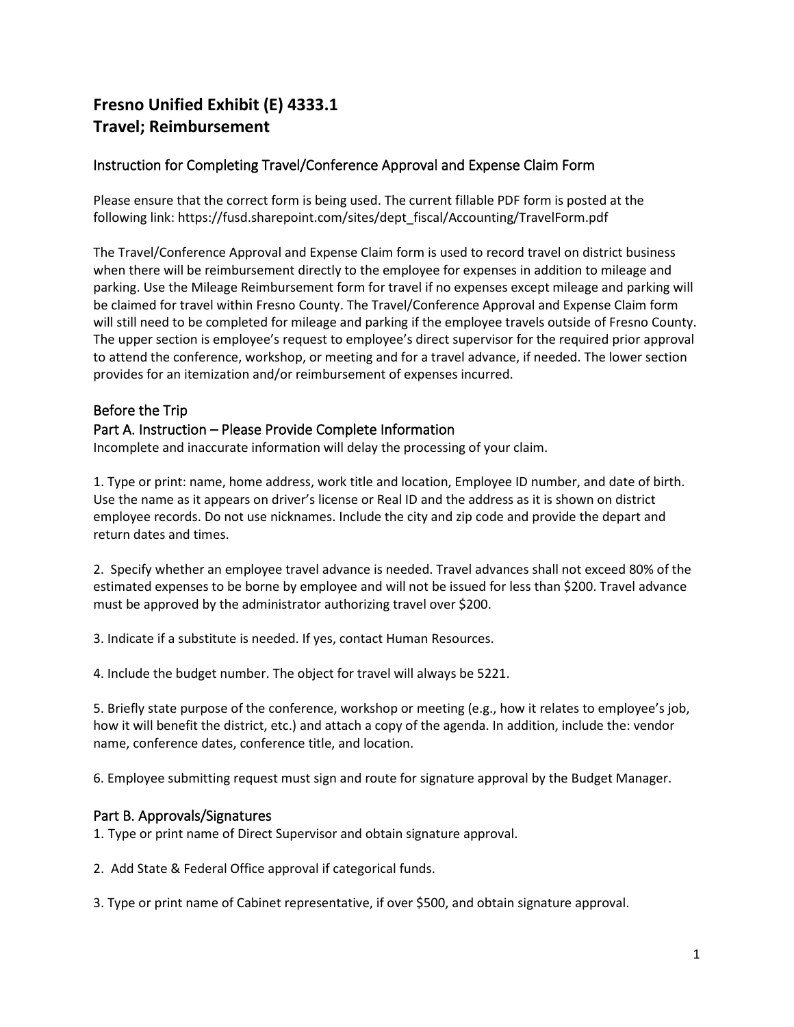# **Fresno Unified Exhibit (E) 4333.1 Travel; Reimbursement**

# Instruction for Completing Travel/Conference Approval and Expense Claim Form

Please ensure that the correct form is being used. The current fillable PDF form is posted at the following link: https://fusd.sharepoint.com/sites/dept\_fiscal/Accounting/TravelForm.pdf

The Travel/Conference Approval and Expense Claim form is used to record travel on district business when there will be reimbursement directly to the employee for expenses in addition to mileage and parking. Use the Mileage Reimbursement form for travel if no expenses except mileage and parking will be claimed for travel within Fresno County. The Travel/Conference Approval and Expense Claim form will still need to be completed for mileage and parking if the employee travels outside of Fresno County. The upper section is employee's request to employee's direct supervisor for the required prior approval to attend the conference, workshop, or meeting and for a travel advance, if needed. The lower section provides for an itemization and/or reimbursement of expenses incurred.

### Before the Trip

#### Part A. Instruction – Please Provide Complete Information

Incomplete and inaccurate information will delay the processing of your claim.

1. Type or print: name, home address, work title and location, Employee ID number, and date of birth. Use the name as it appears on driver's license or Real ID and the address as it is shown on district employee records. Do not use nicknames. Include the city and zip code and provide the depart and return dates and times.

2. Specify whether an employee travel advance is needed. Travel advances shall not exceed 80% of the estimated expenses to be borne by employee and will not be issued for less than \$200. Travel advance must be approved by the administrator authorizing travel over \$200.

3. Indicate if a substitute is needed. If yes, contact Human Resources.

4. Include the budget number. The object for travel will always be 5221.

5. Briefly state purpose of the conference, workshop or meeting (e.g., how it relates to employee's job, how it will benefit the district, etc.) and attach a copy of the agenda. In addition, include the: vendor name, conference dates, conference title, and location.

6. Employee submitting request must sign and route for signature approval by the Budget Manager.

#### Part B. Approvals/Signatures

1. Type or print name of Direct Supervisor and obtain signature approval.

2. Add State & Federal Office approval if categorical funds.

3. Type or print name of Cabinet representative, if over \$500, and obtain signature approval.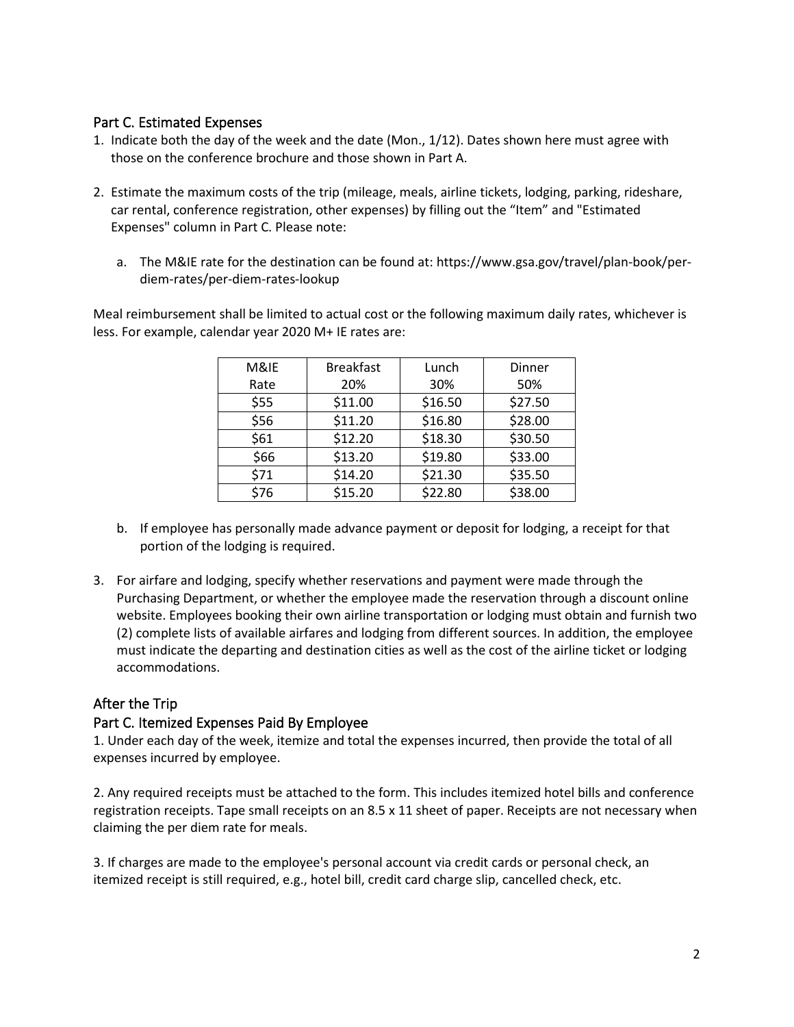## Part C. Estimated Expenses

- 1. Indicate both the day of the week and the date (Mon., 1/12). Dates shown here must agree with those on the conference brochure and those shown in Part A.
- 2. Estimate the maximum costs of the trip (mileage, meals, airline tickets, lodging, parking, rideshare, car rental, conference registration, other expenses) by filling out the "Item" and "Estimated Expenses" column in Part C. Please note:
	- a. The M&IE rate for the destination can be found at: https://www.gsa.gov/travel/plan-book/perdiem-rates/per-diem-rates-lookup

Meal reimbursement shall be limited to actual cost or the following maximum daily rates, whichever is less. For example, calendar year 2020 M+ IE rates are:

| <b>Breakfast</b> | Lunch   | Dinner  |
|------------------|---------|---------|
| 20%              | 30%     | 50%     |
| \$11.00          | \$16.50 | \$27.50 |
| \$11.20          | \$16.80 | \$28.00 |
| \$12.20          | \$18.30 | \$30.50 |
| \$13.20          | \$19.80 | \$33.00 |
| \$14.20          | \$21.30 | \$35.50 |
| \$15.20          | \$22.80 | \$38.00 |
|                  |         |         |

- b. If employee has personally made advance payment or deposit for lodging, a receipt for that portion of the lodging is required.
- 3. For airfare and lodging, specify whether reservations and payment were made through the Purchasing Department, or whether the employee made the reservation through a discount online website. Employees booking their own airline transportation or lodging must obtain and furnish two (2) complete lists of available airfares and lodging from different sources. In addition, the employee must indicate the departing and destination cities as well as the cost of the airline ticket or lodging accommodations.

# After the Trip

#### Part C. Itemized Expenses Paid By Employee

1. Under each day of the week, itemize and total the expenses incurred, then provide the total of all expenses incurred by employee.

2. Any required receipts must be attached to the form. This includes itemized hotel bills and conference registration receipts. Tape small receipts on an 8.5 x 11 sheet of paper. Receipts are not necessary when claiming the per diem rate for meals.

3. If charges are made to the employee's personal account via credit cards or personal check, an itemized receipt is still required, e.g., hotel bill, credit card charge slip, cancelled check, etc.